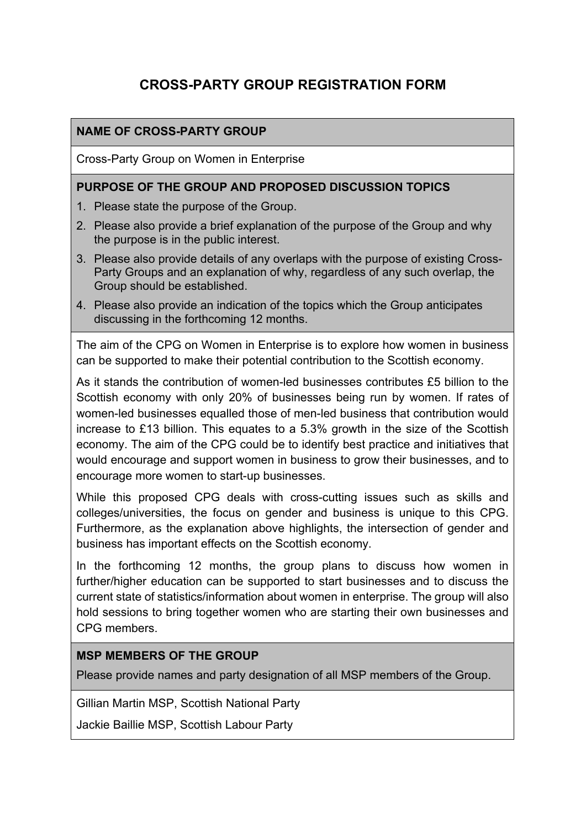# **CROSS-PARTY GROUP REGISTRATION FORM**

### **NAME OF CROSS-PARTY GROUP**

Cross-Party Group on Women in Enterprise

#### **PURPOSE OF THE GROUP AND PROPOSED DISCUSSION TOPICS**

- 1. Please state the purpose of the Group.
- 2. Please also provide a brief explanation of the purpose of the Group and why the purpose is in the public interest.
- 3. Please also provide details of any overlaps with the purpose of existing Cross-Party Groups and an explanation of why, regardless of any such overlap, the Group should be established.
- 4. Please also provide an indication of the topics which the Group anticipates discussing in the forthcoming 12 months.

The aim of the CPG on Women in Enterprise is to explore how women in business can be supported to make their potential contribution to the Scottish economy.

As it stands the contribution of women-led businesses contributes £5 billion to the Scottish economy with only 20% of businesses being run by women. If rates of women-led businesses equalled those of men-led business that contribution would increase to £13 billion. This equates to a 5.3% growth in the size of the Scottish economy. The aim of the CPG could be to identify best practice and initiatives that would encourage and support women in business to grow their businesses, and to encourage more women to start-up businesses.

While this proposed CPG deals with cross-cutting issues such as skills and colleges/universities, the focus on gender and business is unique to this CPG. Furthermore, as the explanation above highlights, the intersection of gender and business has important effects on the Scottish economy.

In the forthcoming 12 months, the group plans to discuss how women in further/higher education can be supported to start businesses and to discuss the current state of statistics/information about women in enterprise. The group will also hold sessions to bring together women who are starting their own businesses and CPG members.

#### **MSP MEMBERS OF THE GROUP**

Please provide names and party designation of all MSP members of the Group.

Gillian Martin MSP, Scottish National Party

Jackie Baillie MSP, Scottish Labour Party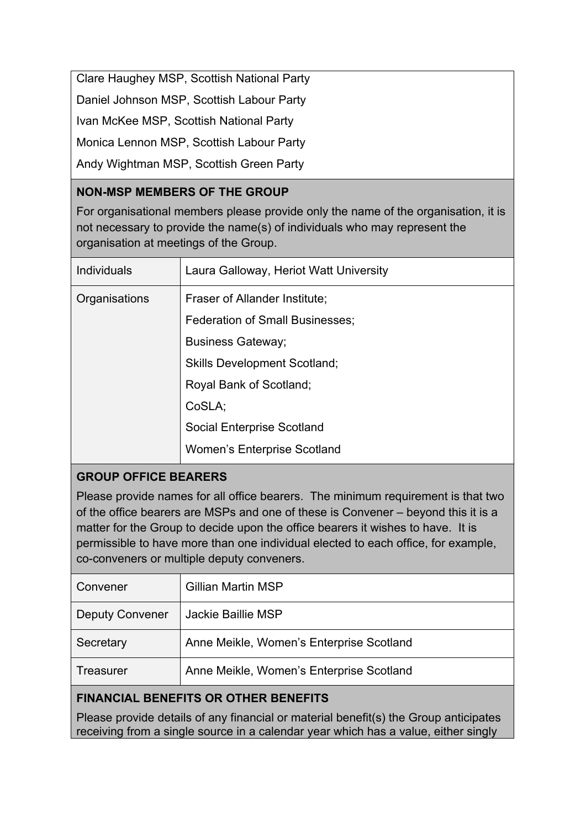Clare Haughey MSP, Scottish National Party Daniel Johnson MSP, Scottish Labour Party Ivan McKee MSP, Scottish National Party Monica Lennon MSP, Scottish Labour Party Andy Wightman MSP, Scottish Green Party

## **NON-MSP MEMBERS OF THE GROUP**

For organisational members please provide only the name of the organisation, it is not necessary to provide the name(s) of individuals who may represent the organisation at meetings of the Group.

| <b>Individuals</b> | Laura Galloway, Heriot Watt University |
|--------------------|----------------------------------------|
| Organisations      | Fraser of Allander Institute;          |
|                    | <b>Federation of Small Businesses;</b> |
|                    | <b>Business Gateway;</b>               |
|                    | <b>Skills Development Scotland;</b>    |
|                    | Royal Bank of Scotland;                |
|                    | CoSLA:                                 |
|                    | <b>Social Enterprise Scotland</b>      |
|                    | <b>Women's Enterprise Scotland</b>     |
|                    |                                        |

# **GROUP OFFICE BEARERS**

Please provide names for all office bearers. The minimum requirement is that two of the office bearers are MSPs and one of these is Convener – beyond this it is a matter for the Group to decide upon the office bearers it wishes to have. It is permissible to have more than one individual elected to each office, for example, co-conveners or multiple deputy conveners.

| Convener               | <b>Gillian Martin MSP</b>                |
|------------------------|------------------------------------------|
| <b>Deputy Convener</b> | <b>Jackie Baillie MSP</b>                |
| Secretary              | Anne Meikle, Women's Enterprise Scotland |
| Treasurer              | Anne Meikle, Women's Enterprise Scotland |

# **FINANCIAL BENEFITS OR OTHER BENEFITS**

Please provide details of any financial or material benefit(s) the Group anticipates receiving from a single source in a calendar year which has a value, either singly